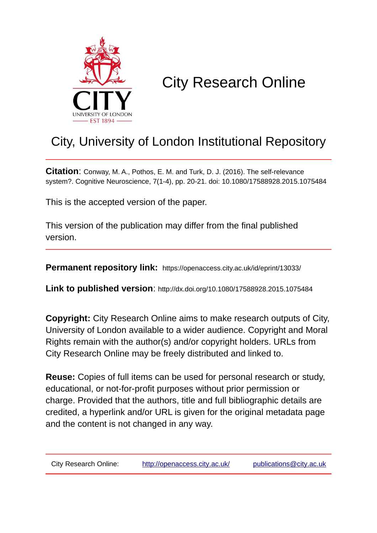

# City Research Online

## City, University of London Institutional Repository

**Citation**: Conway, M. A., Pothos, E. M. and Turk, D. J. (2016). The self-relevance system?. Cognitive Neuroscience, 7(1-4), pp. 20-21. doi: 10.1080/17588928.2015.1075484

This is the accepted version of the paper.

This version of the publication may differ from the final published version.

**Permanent repository link:** https://openaccess.city.ac.uk/id/eprint/13033/

**Link to published version**: http://dx.doi.org/10.1080/17588928.2015.1075484

**Copyright:** City Research Online aims to make research outputs of City, University of London available to a wider audience. Copyright and Moral Rights remain with the author(s) and/or copyright holders. URLs from City Research Online may be freely distributed and linked to.

**Reuse:** Copies of full items can be used for personal research or study, educational, or not-for-profit purposes without prior permission or charge. Provided that the authors, title and full bibliographic details are credited, a hyperlink and/or URL is given for the original metadata page and the content is not changed in any way.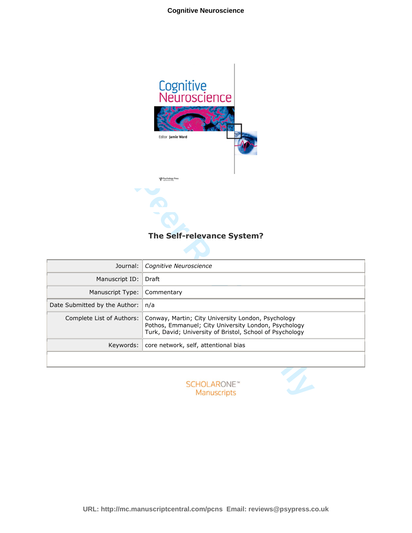

## **The Self-relevance System?**

| Editor Jamie Ward<br><b>UP</b> Psychology Press |                                                                                                                                                                        |
|-------------------------------------------------|------------------------------------------------------------------------------------------------------------------------------------------------------------------------|
| The Self-relevance System?                      |                                                                                                                                                                        |
| Journal:                                        | Cognitive Neuroscience                                                                                                                                                 |
| Manuscript ID:                                  | Draft                                                                                                                                                                  |
| Manuscript Type:                                | Commentary                                                                                                                                                             |
| Date Submitted by the Author:                   | n/a                                                                                                                                                                    |
| Complete List of Authors:                       | Conway, Martin; City University London, Psychology<br>Pothos, Emmanuel; City University London, Psychology<br>Turk, David; University of Bristol, School of Psychology |
| Keywords:                                       | core network, self, attentional bias                                                                                                                                   |
|                                                 |                                                                                                                                                                        |
|                                                 | <b>SCHOLARONE™</b><br>Manuscripts                                                                                                                                      |

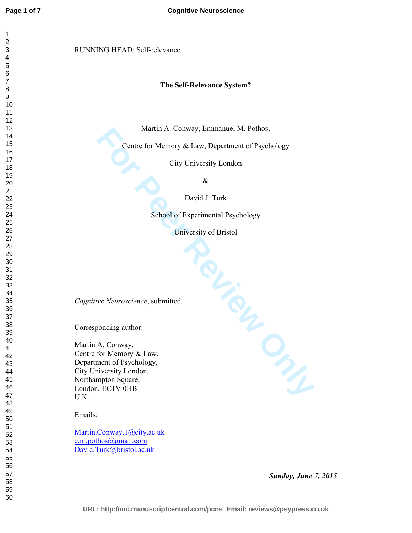### RUNNING HEAD: Self-relevance

#### **The Self-Relevance System?**

Martin A. Conway, Emmanuel M. Pothos,

Centre for Memory & Law, Department of Psychology

City University London

&

David J. Turk

School of Experimental Psychology

University of Bristol

**Percycle Principles** *Cognitive Neuroscience*, submitted.

Corresponding author:

Martin A. Conway, Centre for Memory & Law, Department of Psychology, City University London, Northampton Square, London, EC1V 0HB U.K.

Emails:

Martin.Conway.1@city.ac.uk e.m.pothos@gmail.com David.Turk@bristol.ac.uk

*Sunday, June 7, 2015*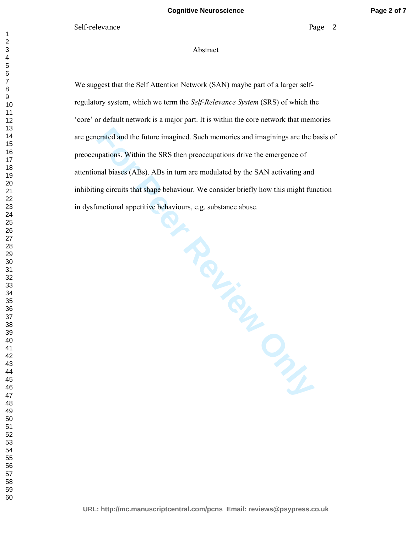#### Abstract

that a behaviours, e.g.<br>
Per Chapter Chapter Chapter Chapter Chapter Chapter Chapter Chapter Chapter Chapter Chapter Chapter Chapter Chapter Chapter Chapter Chapter Chapter Chapter Chapter Chapter Chapter Chapter Chapter C We suggest that the Self Attention Network (SAN) maybe part of a larger selfregulatory system, which we term the *Self-Relevance System* (SRS) of which the 'core' or default network is a major part. It is within the core network that memories are generated and the future imagined. Such memories and imaginings are the basis of preoccupations. Within the SRS then preoccupations drive the emergence of attentional biases (ABs). ABs in turn are modulated by the SAN activating and inhibiting circuits that shape behaviour. We consider briefly how this might function in dysfunctional appetitive behaviours, e.g. substance abuse.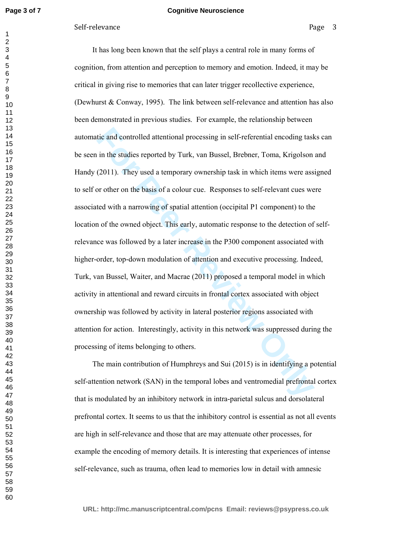#### **Cognitive Neuroscience**

#### Self-relevance Page 3

tic and controlled attentional processing in self-referential encoding task<br>in the studies reported by Turk, van Bussel, Brebner, Toma, Krigolson<br>(2011). They used a temporary ownership task in which items were ass<br>or othe It has long been known that the self plays a central role in many forms of cognition, from attention and perception to memory and emotion. Indeed, it may be critical in giving rise to memories that can later trigger recollective experience, (Dewhurst & Conway, 1995). The link between self-relevance and attention has also been demonstrated in previous studies. For example, the relationship between automatic and controlled attentional processing in self-referential encoding tasks can be seen in the studies reported by Turk, van Bussel, Brebner, Toma, Krigolson and Handy (2011). They used a temporary ownership task in which items were assigned to self or other on the basis of a colour cue. Responses to self-relevant cues were associated with a narrowing of spatial attention (occipital P1 component) to the location of the owned object. This early, automatic response to the detection of selfrelevance was followed by a later increase in the P300 component associated with higher-order, top-down modulation of attention and executive processing. Indeed, Turk, van Bussel, Waiter, and Macrae (2011) proposed a temporal model in which activity in attentional and reward circuits in frontal cortex associated with object ownership was followed by activity in lateral posterior regions associated with attention for action. Interestingly, activity in this network was suppressed during the processing of items belonging to others.

The main contribution of Humphreys and Sui (2015) is in identifying a potential self-attention network (SAN) in the temporal lobes and ventromedial prefrontal cortex that is modulated by an inhibitory network in intra-parietal sulcus and dorsolateral prefrontal cortex. It seems to us that the inhibitory control is essential as not all events are high in self-relevance and those that are may attenuate other processes, for example the encoding of memory details. It is interesting that experiences of intense self-relevance, such as trauma, often lead to memories low in detail with amnesic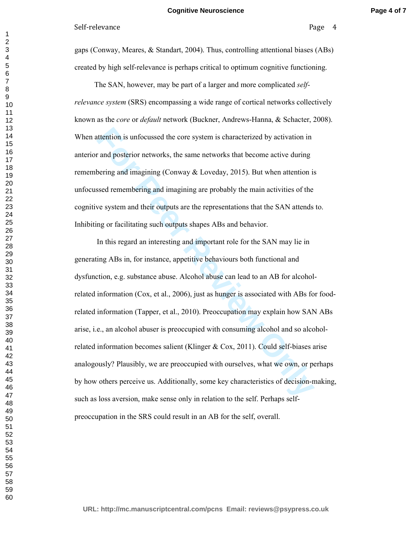gaps (Conway, Meares, & Standart, 2004). Thus, controlling attentional biases (ABs) created by high self-relevance is perhaps critical to optimum cognitive functioning.

 The SAN, however, may be part of a larger and more complicated *selfrelevance system* (SRS) encompassing a wide range of cortical networks collectively known as the *core* or *default* network (Buckner, Andrews-Hanna, & Schacter, 2008). When attention is unfocussed the core system is characterized by activation in anterior and posterior networks, the same networks that become active during remembering and imagining (Conway & Loveday, 2015). But when attention is unfocussed remembering and imagining are probably the main activities of the cognitive system and their outputs are the representations that the SAN attends to. Inhibiting or facilitating such outputs shapes ABs and behavior.

ttention is unfocussed the core system is characterized by activation in<br> **For and posterior networks**, the same networks that become active during<br>
bering and imagining (Conway & Loveday, 2015). But when attention is<br>
sse In this regard an interesting and important role for the SAN may lie in generating ABs in, for instance, appetitive behaviours both functional and dysfunction, e.g. substance abuse. Alcohol abuse can lead to an AB for alcoholrelated information (Cox, et al., 2006), just as hunger is associated with ABs for foodrelated information (Tapper, et al., 2010). Preoccupation may explain how SAN ABs arise, i.e., an alcohol abuser is preoccupied with consuming alcohol and so alcoholrelated information becomes salient (Klinger & Cox, 2011). Could self-biases arise analogously? Plausibly, we are preoccupied with ourselves, what we own, or perhaps by how others perceive us. Additionally, some key characteristics of decision-making, such as loss aversion, make sense only in relation to the self. Perhaps selfpreoccupation in the SRS could result in an AB for the self, overall.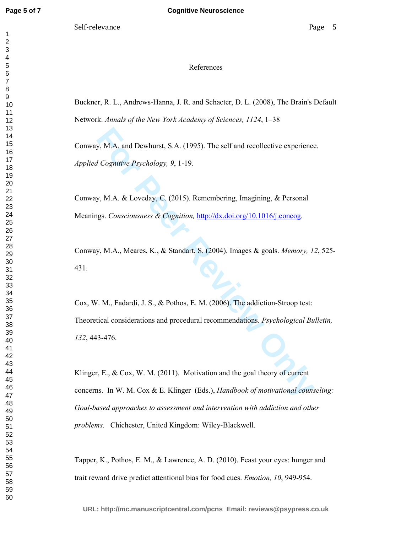#### References

Buckner, R. L., Andrews-Hanna, J. R. and Schacter, D. L. (2008), The Brain's Default Network. *Annals of the New York Academy of Sciences, 1124*, 1–38

Conway, M.A. and Dewhurst, S.A. (1995). The self and recollective experience. *Applied Cognitive Psychology, 9*, 1-19.

Conway, M.A. & Loveday, C. (2015). Remembering, Imagining, & Personal Meanings. *Consciousness & Cognition,* http://dx.doi.org/10.1016/j.concog.

Conway, M.A., Meares, K., & Standart, S. (2004). Images & goals. *Memory, 12*, 525- 431.

**For Perry ATA.** and Dewhurst, S.A. (1995). The self and recollective experience<br> *Forgnitive Psychology*, 9, 1-19.<br> **For Peer Review Atababy, C. (2015). Remembering, Imagining, & Personal<br>
ags. Consciousness & Cognition,** Cox, W. M., Fadardi, J. S., & Pothos, E. M. (2006). The addiction-Stroop test: Theoretical considerations and procedural recommendations. *Psychological Bulletin,*  , 443-476.

Klinger, E., & Cox, W. M. (2011). Motivation and the goal theory of current concerns. In W. M. Cox & E. Klinger (Eds.), *Handbook of motivational counseling: Goal-based approaches to assessment and intervention with addiction and other problems*. Chichester, United Kingdom: Wiley-Blackwell.

Tapper, K., Pothos, E. M., & Lawrence, A. D. (2010). Feast your eyes: hunger and trait reward drive predict attentional bias for food cues. *Emotion, 10*, 949-954.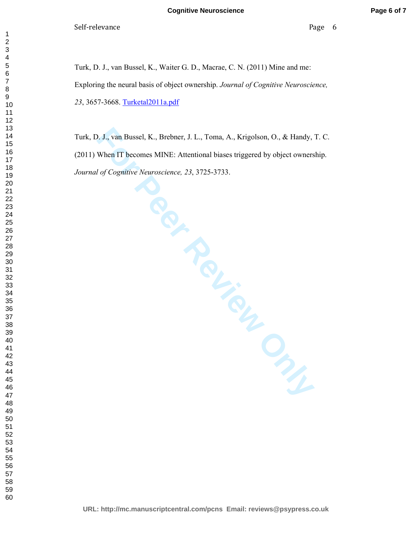Turk, D. J., van Bussel, K., Waiter G. D., Macrae, C. N. (2011) Mine and me: Exploring the neural basis of object ownership. *Journal of Cognitive Neuroscience,*  , 3657-3668. Turketal2011a.pdf

Turk, D. J., van Bussel, K., Brebner, J. L., Toma, A., Krigolson, O., & Handy, T. C. (2011) When IT becomes MINE: Attentional biases triggered by object ownership. *Journal of Cognitive Neuroscience, 23*, 3725-3733.

**For Perront Bussel, K., Brebner, J. L., Toma, A., Krigolson, O., & Handy,**<br>
When IT becomes MINE: Attentional biases triggered by object owners<br>
If af Cognitive Neuroscience, 23, 3725-3733.